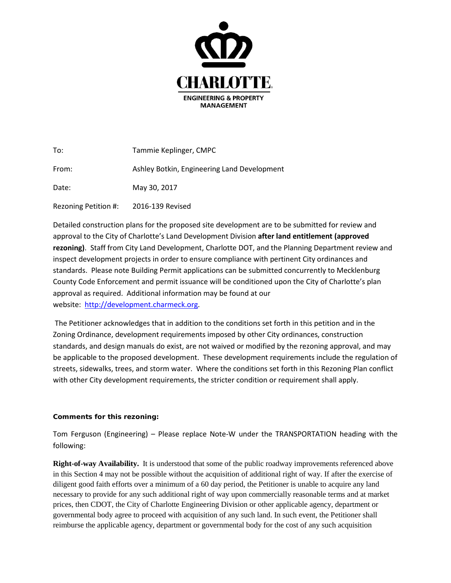

| To:                  | Tammie Keplinger, CMPC                      |
|----------------------|---------------------------------------------|
| From:                | Ashley Botkin, Engineering Land Development |
| Date:                | May 30, 2017                                |
| Rezoning Petition #: | 2016-139 Revised                            |

Detailed construction plans for the proposed site development are to be submitted for review and approval to the City of Charlotte's Land Development Division **after land entitlement (approved rezoning)**. Staff from City Land Development, Charlotte DOT, and the Planning Department review and inspect development projects in order to ensure compliance with pertinent City ordinances and standards. Please note Building Permit applications can be submitted concurrently to Mecklenburg County Code Enforcement and permit issuance will be conditioned upon the City of Charlotte's plan approval as required. Additional information may be found at our website: [http://development.charmeck.org.](http://development.charmeck.org/)

The Petitioner acknowledges that in addition to the conditions set forth in this petition and in the Zoning Ordinance, development requirements imposed by other City ordinances, construction standards, and design manuals do exist, are not waived or modified by the rezoning approval, and may be applicable to the proposed development. These development requirements include the regulation of streets, sidewalks, trees, and storm water. Where the conditions set forth in this Rezoning Plan conflict with other City development requirements, the stricter condition or requirement shall apply.

## **Comments for this rezoning:**

Tom Ferguson (Engineering) – Please replace Note-W under the TRANSPORTATION heading with the following:

**Right-of-way Availability.** It is understood that some of the public roadway improvements referenced above in this Section 4 may not be possible without the acquisition of additional right of way. If after the exercise of diligent good faith efforts over a minimum of a 60 day period, the Petitioner is unable to acquire any land necessary to provide for any such additional right of way upon commercially reasonable terms and at market prices, then CDOT, the City of Charlotte Engineering Division or other applicable agency, department or governmental body agree to proceed with acquisition of any such land. In such event, the Petitioner shall reimburse the applicable agency, department or governmental body for the cost of any such acquisition